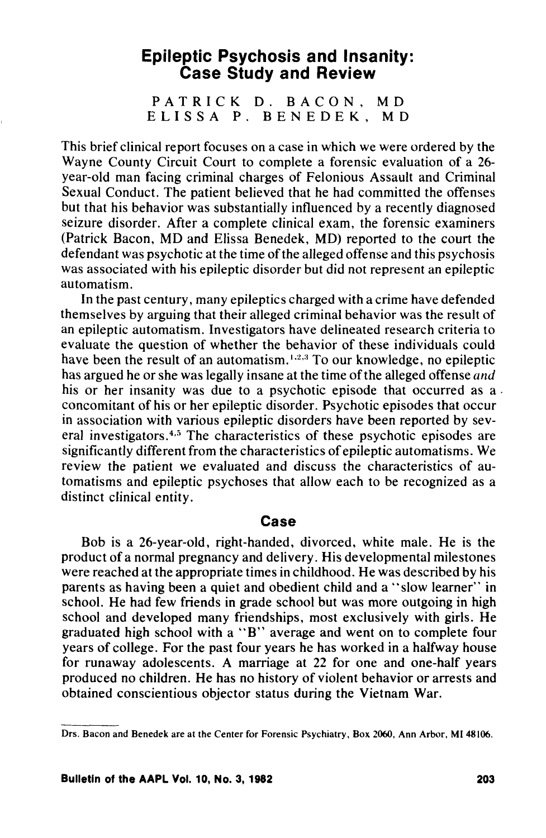# **Epileptic Psychosis and Insanity: Case Study and Review**

PATRICK D. BACON, MD ELISSA P. BENEDEK, MD

This brief clinical report focuses on a case in which we were ordered by the Wayne County Circuit Court to complete a forensic evaluation of a 26 year-old man facing criminal charges of Felonious Assault and Criminal Sexual Conduct. The patient believed that he had committed the offenses but that his behavior was substantially influenced by a recently diagnosed seizure disorder. After a complete clinical exam, the forensic examiners (Patrick Bacon, MD and Elissa Benedek, MD) reported to the court the defendant was psychotic at the time of the alleged offense and this psychosis was associated with his epileptic disorder but did not represent an epileptic automatism.

In the past century, many epileptics charged with a crime have defended themselves by arguing that their alleged criminal behavior was the result of an epileptic automatism. Investigators have delineated research criteria to evaluate the question of whether the behavior of these individuals could have been the result of an automatism.<sup>1,2,3</sup> To our knowledge, no epileptic has argued he or she was legally insane at the time of the alleged offense *and* his or her insanity was due to a psychotic episode that occurred as a concomitant of his or her epileptic disorder. Psychotic episodes that occur in association with various epileptic disorders have been reported by several investigators.<sup>4,5</sup> The characteristics of these psychotic episodes are significantly different from the characteristics of epileptic automatisms. We review the patient we evaluated and discuss the characteristics of automatisms and epileptic psychoses that allow each to be recognized as a distinct clinical entity.

### **Case**

Bob is a 26-year-old, right-handed, divorced, white male. He is the product of a normal pregnancy and delivery. His developmental milestones were reached at the appropriate times in childhood. He was described by his parents as having been a quiet and obedient child and a "slow learner" in school. He had few friends in grade school but was more outgoing in high school and developed many friendships, most exclusively with girls. He graduated high school with a "B" average and went on to complete four years of college. For the past four years he has worked in a halfway house for runaway adolescents. A marriage at 22 for one and one-half years produced no children. He has no history of violent behavior or arrests and obtained conscientious objector status during the Vietnam War.

Drs. Bacon and Benedek are at the Center for Forensic Psychiatry, Box 2060, Ann Arbor, MI 48106.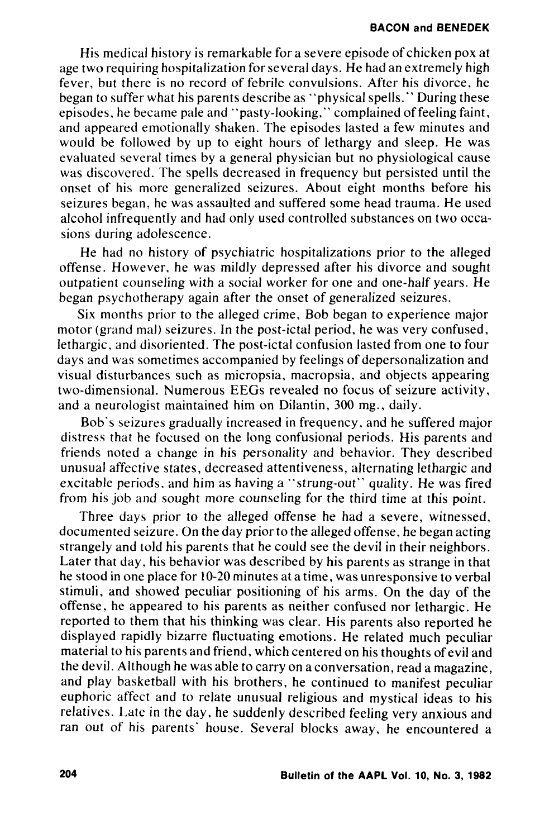His medical history is remarkable for a severe episode of chicken pox at age two requiring hospitalization for several days. He had an extremely high fever, but there is no record of febrile convulsions. After his divorce, he began to suffer what his parents describe as "physical spells." During these episodes, he became pale and "pasty-looking," complained of feeling faint, and appeared emotionally shaken. The episodes lasted a few minutes and would be followed by up to eight hours of lethargy and sleep. He was evaluated several times by a general physician but no physiological cause was discovered. The spells decreased in frequency but persisted until the onset of his more generalized seizures. About eight months before his seizures began, he was assaulted and suffered some head trauma. He used alcohol infrequently and had only used controlled substances on two occasions during adolescence.

He had no history of psychiatric hospitalizations prior to the alleged offense. However. he was mildly depressed after his divorce and sought outpatient counseling with a social worker for one and one-half years. He began psychotherapy again after the onset of generalized seizures.

Six months prior to the alleged crime, Bob began to experience major motor (grand mal) seizures. In the post-ictal period, he was very confused, lethargic, and disoriented. The post-ictal confusion lasted from one to four days and was sometimes accompanied by feelings of depersonalization and visual disturbances such as micropsia, macropsia, and objects appearing two-dimensional. Numerous EEGs revealed no focus of seizure activity, and a neurologist maintained him on Dilantin, 300 mg., daily.

Bob's seizures gradually increased in frequency, and he suffered major distress that he focused on the long confusional periods. His parents and friends noted a change in his personality and behavior. They described unusual affective states, decreased attentiveness, alternating lethargic and excitable periods, and him as having a "strung-out" quality. He was fired from his job and sought more counseling for the third time at this point.

Three days prior to the alleged offense he had a severe, witnessed, documented seizure. On the day prior to the alleged offense. he began acting strangely and told his parents that he could see the devil in their neighbors. Later that day, his behavior was described by his parents as strange in that he stood in one place for 10-20 minutes at a time, was unresponsive to verbal stimuli, and showed peculiar positioning of his arms. On the day of the offense, he appeared to his parents as neither confused nor lethargic. He reported to them that his thinking was clear. His parents also reported he displayed rapidly bizarre fluctuating emotions. He related much peculiar material to his parents and friend, which centered on his thoughts of evil and the devil. Although he was able to carryon a conversation, read a magazine, and play basketball with his brothers, he continued to manifest peculiar euphoric affect and to relate unusual religious and mystical ideas to his relatives. Late in the day. he suddenly described feeling very anxious and ran out of his parents' house. Several blocks away, he encountered a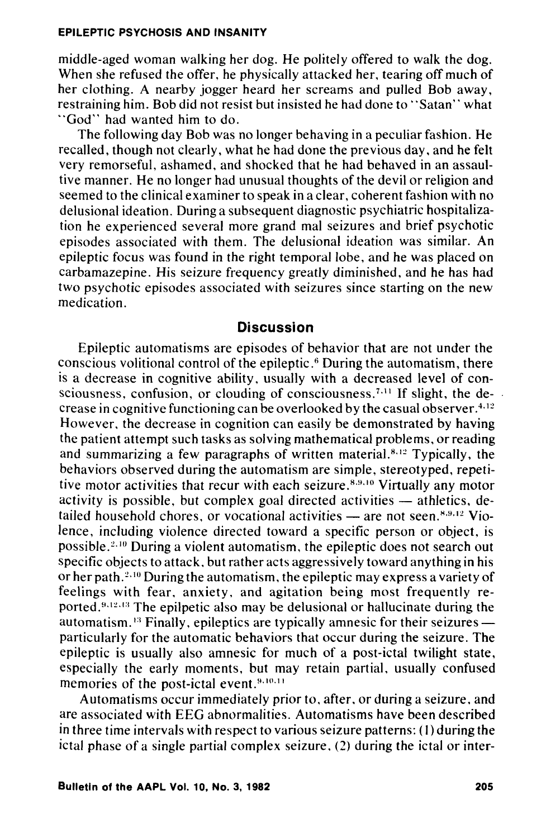#### **EPILEPTIC PSYCHOSIS AND INSANITY**

middle-aged woman walking her dog. He politely offered to walk the dog. When she refused the offer, he physically attacked her, tearing off much of her clothing. A nearby jogger heard her screams and pulled Bob away, restraining him. Bob did not resist but insisted he had done to "Satan" what "God" had wanted him to do.

The following day Bob was no longer behaving in a peculiar fashion. He recalled, though not clearly, what he had done the previous day, and he felt very remorseful, ashamed, and shocked that he had behaved in an assaultive manner. He no longer had unusual thoughts of the devil or religion and seemed to the clinical examiner to speak in a clear, coherent fashion with no delusional ideation. During a subsequent diagnostic psychiatric hospitalization he experienced several more grand mal seizures and brief psychotic episodes associated with them. The delusional ideation was similar. An epileptic focus was found in the right temporal lobe, and he was placed on carbamazepine. His seizure frequency greatly diminished, and he has had two psychotic episodes associated with seizures since starting on the new medication.

## **Discussion**

Epileptic automatisms are episodes of behavior that are not under the conscious volitional control of the epileptic.<sup>6</sup> During the automatism, there is a decrease in cognitive ability, usually with a decreased level of consciousness, confusion, or clouding of consciousness.<sup> $7.11$ </sup> If slight, the decrease in cognitive functioning can be overlooked by the casual observer.  $4.12$ However, the decrease in cognition can easily be demonstrated by having the patient attempt such tasks as solving mathematical problems, or reading and summarizing a few paragraphs of written material. $8.12$  Typically, the behaviors observed during the automatism are simple, stereotyped, repetitive motor activities that recur with each seizure.<sup>8,9,10</sup> Virtually any motor activity is possible, but complex goal directed activities  $-$  athletics, detailed household chores, or vocational activities  $-$  are not seen.<sup>8,9,12</sup> Violence, including violence directed toward a specific person or object, is possible.<sup>2,10</sup> During a violent automatism, the epileptic does not search out specific objects to attack, but rather acts aggressively toward anything in his or her path.  $2.10$  During the automatism, the epileptic may express a variety of feelings with fear, anxiety, and agitation being most frequently reported. $9.12.13$  The epilpetic also may be delusional or hallucinate during the automatism.<sup>13</sup> Finally, epileptics are typically amnesic for their seizures particularly for the automatic behaviors that occur during the seizure. The epileptic is usually also amnesic for much of a post-ictal twilight state, especially the early moments, but may retain partial, usually confused memories of the post-ictal event.<sup>9,10,11</sup>

Automatisms occur immediately prior to, after, or during a seizure, and are associated with EEG abnormalities. Automatisms have been described in three time intervals with respect to various seizure patterns: (I) during the ictal phase of a single partial complex seizure, (2) during the ictal or inter-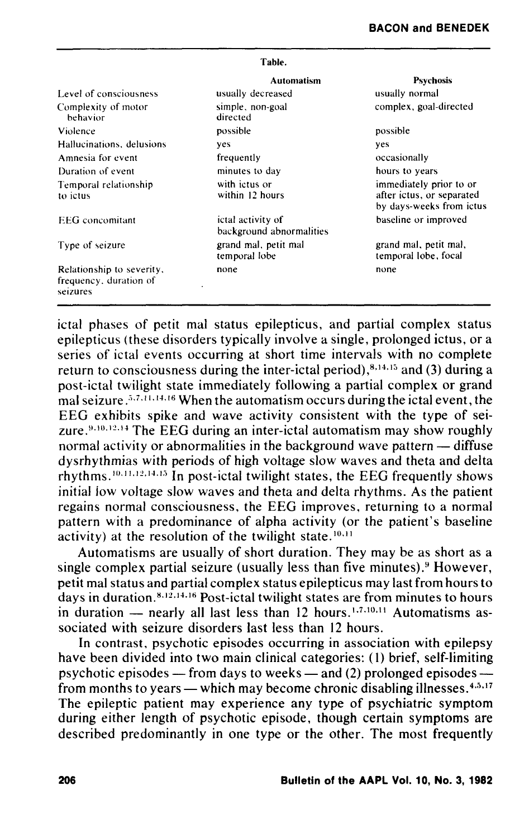| Table.                                                          |                                               |                                                                                  |
|-----------------------------------------------------------------|-----------------------------------------------|----------------------------------------------------------------------------------|
|                                                                 | <b>Automatism</b>                             | <b>Psychosis</b>                                                                 |
| Level of consciousness                                          | usually decreased                             | usually normal                                                                   |
| Complexity of motor<br>behavior                                 | simple, non-goal<br>directed                  | complex, goal-directed                                                           |
| Violence                                                        | possible                                      | possible                                                                         |
| Hallucinations, delusions                                       | yes                                           | <b>ves</b>                                                                       |
| Amnesia for event                                               | frequently                                    | occasionally                                                                     |
| Duration of event                                               | minutes to day                                | hours to years                                                                   |
| Temporal relationship<br>to ictus                               | with ictus or<br>within 12 hours              | immediately prior to or<br>after ictus, or separated<br>by days-weeks from ictus |
| <b>EEG</b> concomitant                                          | ictal activity of<br>background abnormalities | baseline or improved                                                             |
| Type of seizure                                                 | grand mal, petit mal<br>temporal lobe         | grand mal, petit mal,<br>temporal lobe, focal                                    |
| Relationship to severity,<br>frequency, duration of<br>seizures | none                                          | none                                                                             |

ictal phases of petit mal status epilepticus, and partial complex status epilepticus (these disorders typically involve a single, prolonged ictus, or a series of ictal events occurring at short time intervals with no complete return to consciousness during the inter-ictal period), $8,14,15$  and (3) during a post-ictal twilight state immediately following a partial complex or grand mal seizure.  $5.7.11.14.16$  When the automatism occurs during the ictal event, the EEG exhibits spike and wave activity consistent with the type of seizure. $9,10,12,14$  The EEG during an inter-ictal automatism may show roughly normal activity or abnormalities in the background wave pattern — diffuse dysrhythmias with periods of high voltage slow waves and theta and delta rhythms.  $10, 11, 12, 14, 15$  In post-ictal twilight states, the EEG frequently shows initial iow voltage slow waves and theta and delta rhythms. As the patient regains normal consciousness, the EEG improves, returning to a normal pattern with a predominance of alpha activity (or the patient's baseline activity) at the resolution of the twilight state.<sup>10,11</sup>

Automatisms are usually of short duration. They may be as short as a single complex partial seizure (usually less than five minutes). $9$  However, petit mal status and partial complex status epilepticus may last from hours to days in duration.<sup>8,12,14,16</sup> Post-ictal twilight states are from minutes to hours in duration  $-$  nearly all last less than 12 hours.<sup>1,7,10,11</sup> Automatisms associated with seizure disorders last less than 12 hours.

In contrast, psychotic episodes occurring in association with epilepsy have been divided into two main clinical categories: (1) brief, self-limiting psychotic episodes  $-$  from days to weeks  $-$  and (2) prolonged episodes  $$ from months to years — which may become chronic disabling illnesses.  $4.5,17$ The epileptic patient may experience any type of psychiatric symptom during either length of psychotic episode, though certain symptoms are described predominantly in one type or the other. The most frequently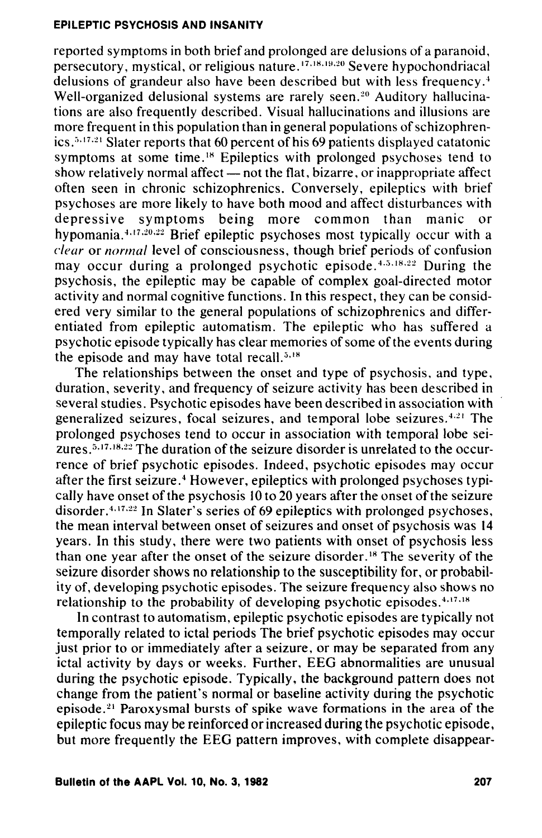#### **EPILEPTIC PSYCHOSIS AND INSANITY**

reported symptoms in both brief and prolonged are delusions of a paranoid, persecutory, mystical, or religious nature.<sup> $17,18,19,20$ </sup> Severe hypochondriacal delusions of grandeur also have been described but with less frequency.<sup>4</sup> Well-organized delusional systems are rarely seen.<sup>20</sup> Auditory hallucinations are also frequently described. Visual hallucinations and illusions are more frequent in this population than in general populations of schizophrenics. $5.17.21$  Slater reports that 60 percent of his 69 patients displayed catatonic symptoms at some time.<sup>18</sup> Epileptics with prolonged psychoses tend to show relatively normal affect  $-$  not the flat, bizarre, or inappropriate affect often seen in chronic schizophrenics. Conversely, epileptics with brief psychoses are more likely to have both mood and affect disturbances with depressive symptoms being more common than manic or hypomania.<sup>4,17,20,22</sup> Brief epileptic psychoses most typically occur with a *clear* or *normal* level of consciousness, though brief periods of confusion may occur during a prolonged psychotic episode.  $4.5.18.22$  During the psychosis, the epileptic may be capable of complex goal-directed motor activity and normal cognitive functions. In this respect, they can be considered very similar to the general populations of schizophrenics and differentiated from epileptic automatism. The epileptic who has suffered a psychotic episode typically has clear memories of some of the events during the episode and may have total recall. $5,18$ 

The relationships between the onset and type of psychosis, and type, duration, severity, and frequency of seizure activity has been described in several studies. Psychotic episodes have been described in association with generalized seizures, focal seizures, and temporal lobe seizures.<sup>4,21</sup> The prolonged psychoses tend to occur in association with temporal lobe seizures.<sup>5,17,18,22</sup> The duration of the seizure disorder is unrelated to the occurrence of brief psychotic episodes. Indeed, psychotic episodes may occur after the first seizure.<sup>4</sup> However, epileptics with prolonged psychoses typically have onset of the psychosis 10 to 20 years after the onset of the seizure disorder. 4.17.22 In Slater's series of 69 epileptics with prolonged psychoses, the mean interval between onset of seizures and onset of psychosis was 14 years. In this study, there were two patients with onset of psychosis less than one year after the onset of the seizure disorder.<sup>18</sup> The severity of the seizure disorder shows no relationship to the susceptibility for, or probability of, developing psychotic episodes. The seizure frequency also shows no relationship to the probability of developing psychotic episodes. $4.17.18$ 

In contrast to automatism, epileptic psychotic episodes are typically not temporally related to ictal periods The brief psychotic episodes may occur just prior to or immediately after a seizure, or may be separated from any ictal activity by days or weeks. Further, EEG abnormalities are unusual during the psychotic episode. Typically, the background pattern does not change from the patient's normal or baseline activity during the psychotic episode. 21 Paroxysmal bursts of spike wave formations in the area of the epileptic focus may be reinforced or increased during the psychotic episode, but more frequently the EEG pattern improves, with complete disappear-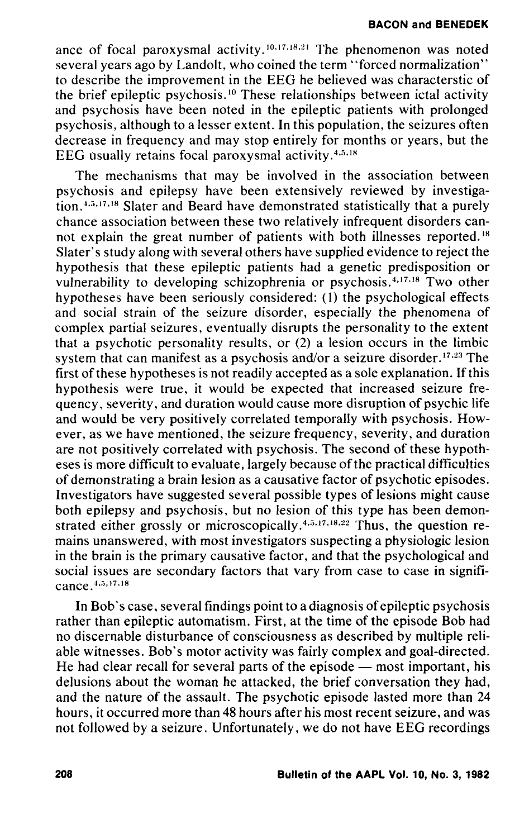BACON and BENEDEK

ance of focal paroxysmal activity.<sup>10,17,18,21</sup> The phenomenon was noted several years ago by Landolt, who coined the term "forced normalization" to describe the improvement in the EEG he believed was characterstic of the brief epileptic psychosis. 10 These relationships between ictal activity and psychosis have been noted in the epileptic patients with prolonged psychosis, although to a lesser extent. In this population, the seizures often decrease in frequency and may stop entirely for months or years, but the EEG usually retains focal paroxysmal activity.4.5.18

The mechanisms that may be involved in the association between psychosis and epilepsy have been extensively reviewed by investigation. $4.5,17,18$  Slater and Beard have demonstrated statistically that a purely chance association between these two relatively infrequent disorders cannot explain the great number of patients with both illnesses reported.<sup>18</sup> Slater's study along with several others have supplied evidence to reject the hypothesis that these epileptic patients had a genetic predisposition or vulnerability to developing schizophrenia or psychosis. 4,17.18 Two other hypotheses have been seriously considered: (1) the psychological effects and social strain of the seizure disorder, especially the phenomena of complex partial seizures, eventually disrupts the personality to the extent that a psychotic personality results, or (2) a lesion occurs in the limbic system that can manifest as a psychosis and/or a seizure disorder.  $17.23$  The first of these hypotheses is not readily accepted as a sole explanation. If this hypothesis were true, it would be expected that increased seizure frequency, severity, and duration would cause more disruption of psychic life and would be very positively correlated temporally with psychosis. However, as we have mentioned, the seizure frequency, severity, and duration are not positively correlated with psychosis. The second of these hypotheses is more difficult to evaluate, largely because ofthe practical difficulties of demonstrating a brain lesion as a causative factor of psychotic episodes. Investigators have suggested several possible types of lesions might cause both epilepsy and psychosis, but no lesion of this type has been demonstrated either grossly or microscopically.<sup>4,5,17,18,22</sup> Thus, the question remains unanswered, with most investigators suspecting a physiologic lesion in the brain is the primary causative factor, and that the psychological and social issues are secondary factors that vary from case to case in significance. 4,5,17,18

In Bob's case, several findings point to a diagnosis of epileptic ps ychosis rather than epileptic automatism. First, at the time of the episode Bob had no discernable disturbance of consciousness as described by mUltiple reliable witnesses. Bob's motor activity was fairly complex and goal-directed. He had clear recall for several parts of the episode  $-$  most important, his delusions about the woman he attacked, the brief conversation they had, and the nature of the assault. The psychotic episode lasted more than 24 hours, it occurred more than 48 hours after his most recent seizure, and was not followed by a seizure. Unfortunately, we do not have EEG recordings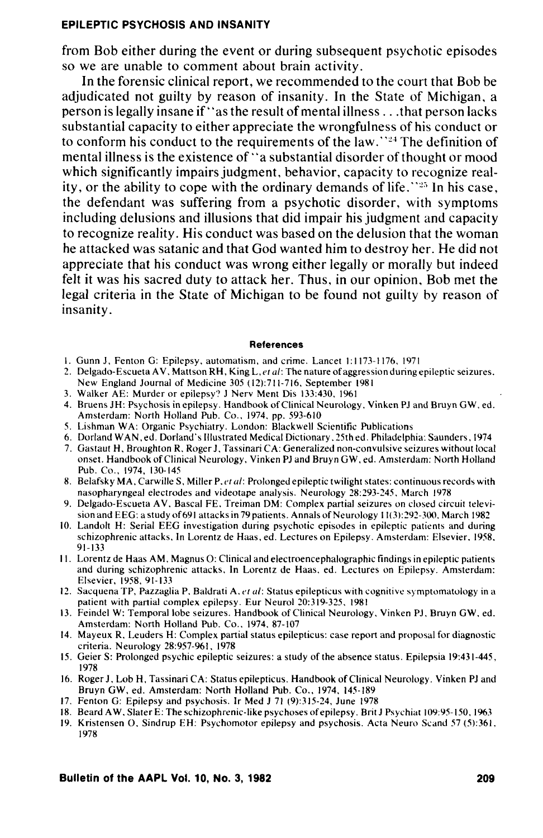### **EPILEPTIC PSYCHOSIS AND INSANITY**

from Bob either during the event or during subsequent psychotic episodes so we are unable to comment about brain activity.

In the forensic clinical report, we recommended to the court that Bob be adjudicated not guilty by reason of insanity. In the State of Michigan. a person is legally insane if" as the result of mental illness ... that person lacks substantial capacity to either appreciate the wrongfulness of his conduct or to conform his conduct to the requirements of the law.<sup> $24$ </sup> The definition of mental illness is the existence of' 'a substantial disorder of thought or mood which significantly impairs judgment. behavior, capacity to recognize reality, or the ability to cope with the ordinary demands of life.  $\mathbb{S}^{25}$  In his case, the defendant was suffering from a psychotic disorder, with symptoms including delusions and illusions that did impair his judgment and capacity to recognize reality. His conduct was based on the delusion that the woman he attacked was satanic and that God wanted him to destroy her. He did not appreciate that his conduct was wrong either legally or morally but indeed felt it was his sacred duty to attack her. Thus. in our opinion. Bob met the legal criteria in the State of Michigan to be found not guilty by reason of insanity.

#### References

- I. Gunn J. Fenton G: Epilepsy. automatism. and crime. Lancet 1: 1173-1176. 1971
- 2. Delgado-Escueta A V. Mattson RH. King L. *et £II:* The nature of aggression during epileptic seizures. New England Journal of Medicine 305 (12):711-716, September 1981
- 3. Walker AE: Murder or epilepsy? J Nerv Ment Dis 133:430. 1961
- 4. Bruens JH: Psychosis in epilepsy. Handbook of Clinical Neurology. Vinken PJ and Bruyn GW. ed. Amsterdam: North Holland Pub. Co., 1974, pp. 593-610
- 5. Lishman W A: Organic Psychiatry. London: Blackwell Scientific Publications
- 6. Dorland WAN. ed. Dorland's Illustrated Medical Dictionary. 25th ed. Philadelphia: Saunders. 1974
- 7. Gastaut H. Broughton R. Roger J. Tassinari CA: Generalized non-convulsive seizures without local onset. Handbook of Clinical Neurology. Vinken PJ and Bruyn GW. ed. Amsterdam: North Holland Pub. Co., 1974, 130-145
- 8. Belafsky MA, Carwille S, Miller P. *et al*: Prolonged epileptic twilight states: continuous records with nasopharyngeal electrodes and videotape analysis. Neurology 28:293-245. March 1978
- 9. Delgado-Escueta AV. Bascal FE. Treiman DM: Complex partial seizures on closed circuit television and EEG: a study of691 attacks in 79 patients. Annals of Neurology 11(3):292-300. March 1982
- 10. Landolt H: Serial EEG investigation during psychotic episodes in epileptic patients and during schizophrenic attacks. In Lorentz de Haas. ed. Lectures on Epilepsy. Amsterdam: Elsevier. 1958. 91- 133
- II. Lorentz de Haas AM. Magnus 0: Clinical and electroencephalographic findings in epileptic patients and during schizophrenic attacks. In Lorentz de Haas. ed. Lectures on Epilepsy. Amsterdam: Elsevier. 1958.91-133
- 12. Sacquena TP, Pazzaglia P, Baldrati A, *et al*: Status epilepticus with cognitive symptomatology in a patient with partial complex epilepsy. Eur Neurol 20:319-325. 1981
- 13. Feindel W: Temporal lobe seizures. Handbook of Clinical Neurology. Vinken PJ. Bruyn GW. ed. Amsterdam: North Holland Pub. Co., 1974, 87-107
- 14. Mayeux R. Leuders H: Complex partial status epileptic us: case report and proposal for diagnostic criteria. Neurology 28:957-961. 1978
- 15. Geier S: Prolonged psychic epileptic seizures: a study of the absence status. Epilepsia 19:431-445. 1978
- 16. Roger J. Lob H. Tassinari CA: Status epilepticus. Handbook of Clinical Neurology. Vinken PJ and Bruyn GW, ed. Amsterdam: North Holland Pub. Co., 1974, 145-189
- 17. Fenton G: Epilepsy and psychosis. Ir Med J 71 (9):315-24. June 1978
- 18. Beard A W. Slater E: The schizophrenic-like psychoses of epilepsy. Brit J Psychiat 109:95-150. 1963
- 19. Kristensen O. Sindrup EH: Psychomotor epilepsy and psychosis. Acta Neuro Scand 57 (5):361. 1978

**Bulletin of the AAPL Vol.** 10, No.3, **1982 209**